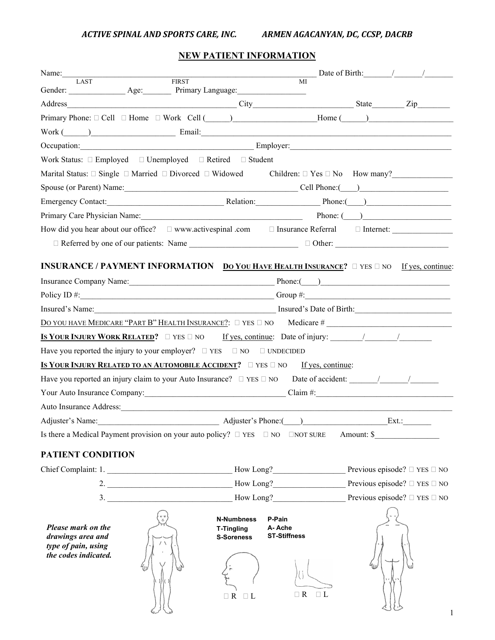ACTIVE SPINAL AND SPORTS CARE, INC. ARMEN AGACANYAN, DC, CCSP, DACRB

## NEW PATIENT INFORMATION

| Name:                                                                                                                                                                                                                          | Date of Birth: / /                                        |
|--------------------------------------------------------------------------------------------------------------------------------------------------------------------------------------------------------------------------------|-----------------------------------------------------------|
| <b>FIRST</b><br>LAST                                                                                                                                                                                                           | MI                                                        |
| Address                                                                                                                                                                                                                        |                                                           |
| Primary Phone: □ Cell □ Home □ Work Cell (_____)__________________Home (_____)_____________________                                                                                                                            |                                                           |
| $Work (\_\_)$                                                                                                                                                                                                                  |                                                           |
| Occupation: Employer: Employer:                                                                                                                                                                                                |                                                           |
| Work Status: □ Employed □ Unemployed □ Retired □ Student                                                                                                                                                                       |                                                           |
| Marital Status: $\square$ Single $\square$ Married $\square$ Divorced $\square$ Widowed Children: $\square$ Yes $\square$ No How many?                                                                                         |                                                           |
|                                                                                                                                                                                                                                |                                                           |
| Emergency Contact: Relation: Relation: Phone: Phone: Phone: Phone: Phone: Phone: Phone: Phone: Phone: Phone: Phone: Phone: Phone: Phone: Phone: Phone: Phone: Phone: Phone: Phone: Phone: Phone: Phone: Phone: Phone: Phone: P |                                                           |
| Primary Care Physician Name: 1990 Manual Communication of Phone: (2019)                                                                                                                                                        |                                                           |
| How did you hear about our office? $\square$ www.activespinal .com $\square$ Insurance Referral $\square$ Internet:                                                                                                            |                                                           |
|                                                                                                                                                                                                                                |                                                           |
|                                                                                                                                                                                                                                |                                                           |
| <b>INSURANCE / PAYMENT INFORMATION</b> DO YOU HAVE HEALTH INSURANCE? <b>DIES</b> DNO If yes, continue:                                                                                                                         |                                                           |
| Insurance Company Name: Phone: Phone: Phone: Phone: Phone: Phone: Phone: Phone: Phone: Phone: Phone: Phone: Phone: Phone: Phone: Phone: Phone: Phone: Phone: Phone: Phone: Phone: Phone: Phone: Phone: Phone: Phone: Phone: Ph |                                                           |
| Policy ID #: Second Second Level 2 and Second Second Second Second Second Second Second Second Second Second Second Second Second Second Second Second Second Second Second Second Second Second Second Second Second Second S |                                                           |
| Insured's Name:                                                                                                                                                                                                                | <b>Example 2</b> Insured's Date of Birth:                 |
| DO YOU HAVE MEDICARE "PART B" HEALTH INSURANCE?: □ YES □ NO Medicare #                                                                                                                                                         |                                                           |
|                                                                                                                                                                                                                                |                                                           |
| Have you reported the injury to your employer? $\Box$ YES $\Box$ NO $\Box$ UNDECIDED                                                                                                                                           |                                                           |
| IS YOUR INJURY RELATED TO AN AUTOMOBILE ACCIDENT? $\Box$ YES $\Box$ NO If yes, continue:                                                                                                                                       |                                                           |
| Have you reported an injury claim to your Auto Insurance? $\Box$ YES $\Box$ NO Date of accident: $\Box$                                                                                                                        |                                                           |
| Your Auto Insurance Company: Claim #: Claim #:                                                                                                                                                                                 |                                                           |
| Auto Insurance Address: 2008                                                                                                                                                                                                   |                                                           |
| Adjuster's Name: Ext.: Ext.:                                                                                                                                                                                                   |                                                           |
| Is there a Medical Payment provision on your auto policy? $\Box$ YES $\Box$ NO $\Box$ NOT SURE                                                                                                                                 | Amount: \$                                                |
| PATIENT CONDITION                                                                                                                                                                                                              |                                                           |
|                                                                                                                                                                                                                                | Previous episode? □ YES □ NO                              |
| 2.                                                                                                                                                                                                                             | How Long?<br>Previous episode? $\square$ YES $\square$ NO |
| 3.                                                                                                                                                                                                                             | Previous episode? □ YES □ NO<br>How Long?                 |
| <b>N-Numbness</b>                                                                                                                                                                                                              | P-Pain                                                    |
| Please mark on the<br><b>T-Tingling</b><br>drawings area and<br><b>S-Soreness</b>                                                                                                                                              | A-Ache<br><b>ST-Stiffness</b>                             |
| type of pain, using<br>the codes indicated.                                                                                                                                                                                    |                                                           |
|                                                                                                                                                                                                                                |                                                           |
|                                                                                                                                                                                                                                |                                                           |
| $\Box R \Box L$                                                                                                                                                                                                                | $\Box R$ $\Box L$                                         |
|                                                                                                                                                                                                                                |                                                           |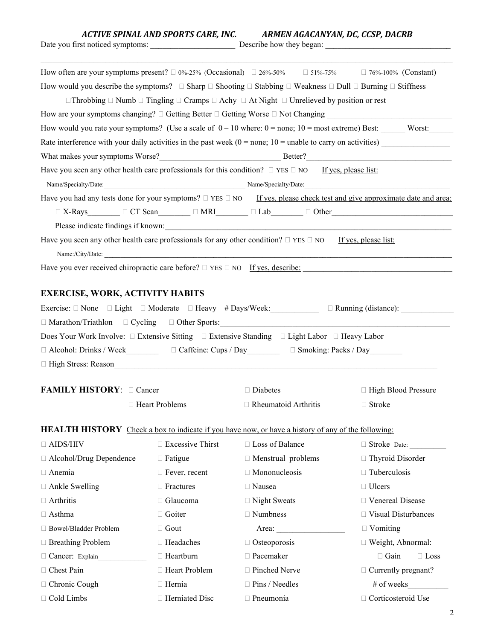| ACTIVE SPINAL AND SPORTS CARE, INC. | ARMEN AGACANYAN, DC, CCSP, DACRB |  |  |
|-------------------------------------|----------------------------------|--|--|
|                                     |                                  |  |  |

|                                        |                         | Describe how they began:                                                                                                                                                                                                       |                            |
|----------------------------------------|-------------------------|--------------------------------------------------------------------------------------------------------------------------------------------------------------------------------------------------------------------------------|----------------------------|
|                                        |                         | How often are your symptoms present? $\Box$ 0%-25% (Occasional) $\Box$ 26%-50% $\Box$ 51%-75% $\Box$ 76%-100% (Constant)                                                                                                       |                            |
|                                        |                         | How would you describe the symptoms? $\Box$ Sharp $\Box$ Shooting $\Box$ Stabbing $\Box$ Weakness $\Box$ Dull $\Box$ Burning $\Box$ Stiffness                                                                                  |                            |
|                                        |                         | $\Box$ Throbbing $\Box$ Numb $\Box$ Tingling $\Box$ Cramps $\Box$ Achy $\Box$ At Night $\Box$ Unrelieved by position or rest                                                                                                   |                            |
|                                        |                         |                                                                                                                                                                                                                                |                            |
|                                        |                         | How would you rate your symptoms? (Use a scale of $0 - 10$ where: $0 =$ none; $10 =$ most extreme) Best: Worst:                                                                                                                |                            |
|                                        |                         | Rate interference with your daily activities in the past week $(0 = none; 10 = unable to carry on activities)$                                                                                                                 |                            |
|                                        |                         | What makes your symptoms Worse?<br><u>Better?</u>                                                                                                                                                                              |                            |
|                                        |                         | Have you seen any other health care professionals for this condition? $\Box$ YES $\Box$ NO If yes, please list:                                                                                                                |                            |
|                                        |                         |                                                                                                                                                                                                                                |                            |
|                                        |                         | Have you had any tests done for your symptoms? $\Box$ YES $\Box$ NO If yes, please check test and give approximate date and area:                                                                                              |                            |
|                                        |                         |                                                                                                                                                                                                                                |                            |
|                                        |                         |                                                                                                                                                                                                                                |                            |
|                                        |                         | Have you seen any other health care professionals for any other condition? $\Box$ YES $\Box$ NO If yes, please list:                                                                                                           |                            |
|                                        |                         | Have you ever received chiropractic care before? $\Box$ YES $\Box$ NO If yes, describe:                                                                                                                                        |                            |
|                                        |                         |                                                                                                                                                                                                                                |                            |
| <b>EXERCISE, WORK, ACTIVITY HABITS</b> |                         |                                                                                                                                                                                                                                |                            |
|                                        |                         | Exercise: □ None □ Light □ Moderate □ Heavy # Days/Week: □ Running (distance): □                                                                                                                                               |                            |
|                                        |                         |                                                                                                                                                                                                                                |                            |
|                                        |                         | Does Your Work Involve: $\Box$ Extensive Sitting $\Box$ Extensive Standing $\Box$ Light Labor $\Box$ Heavy Labor                                                                                                               |                            |
|                                        |                         | □ Alcohol: Drinks / Week___________ □ Caffeine: Cups / Day_________ □ Smoking: Packs / Day________                                                                                                                             |                            |
|                                        |                         |                                                                                                                                                                                                                                |                            |
|                                        |                         |                                                                                                                                                                                                                                |                            |
| <b>FAMILY HISTORY:</b> □ Cancer        |                         | □ Diabetes                                                                                                                                                                                                                     | □ High Blood Pressure      |
| □ Heart Problems                       |                         | $\Box$ Rheumatoid Arthritis $\Box$ Stroke                                                                                                                                                                                      |                            |
|                                        |                         | <b>HEALTH HISTORY</b> Check a box to indicate if you have now, or have a history of any of the following:                                                                                                                      |                            |
| $\Box$ AIDS/HIV                        | $\Box$ Excessive Thirst | □ Loss of Balance                                                                                                                                                                                                              | $\Box$ Stroke Date:        |
| □ Alcohol/Drug Dependence              | $\Box$ Fatigue          | $\Box$ Menstrual problems                                                                                                                                                                                                      | □ Thyroid Disorder         |
| $\Box$ Anemia                          | $\Box$ Fever, recent    | □ Mononucleosis                                                                                                                                                                                                                | $\Box$ Tuberculosis        |
| $\Box$ Ankle Swelling                  | $\Box$ Fractures        | $\Box$ Nausea                                                                                                                                                                                                                  | $\Box$ Ulcers              |
| $\Box$ Arthritis                       | $\Box$ Glaucoma         | □ Night Sweats                                                                                                                                                                                                                 | □ Venereal Disease         |
| $\Box$ Asthma                          | □ Goiter                | $\Box$ Numbness                                                                                                                                                                                                                | □ Visual Disturbances      |
| □ Bowel/Bladder Problem                | $\Box$ Gout             | Area: and the same state of the same state of the same state of the same state of the same state of the same state of the same state of the same state of the same state of the same state of the same state of the same state | $\Box$ Vomiting            |
| $\Box$ Breathing Problem               | $\Box$ Headaches        | $\Box$ Osteoporosis                                                                                                                                                                                                            | □ Weight, Abnormal:        |
| Cancer: Explain                        | $\Box$ Heartburn        | □ Pacemaker                                                                                                                                                                                                                    | $\Box$ Gain<br>$\Box$ Loss |
| □ Chest Pain                           | □ Heart Problem         | □ Pinched Nerve                                                                                                                                                                                                                | □ Currently pregnant?      |
| □ Chronic Cough                        | □ Hernia                | $\Box$ Pins / Needles                                                                                                                                                                                                          | # of weeks                 |
| $\Box$ Cold Limbs                      | □ Herniated Disc        | □ Pneumonia                                                                                                                                                                                                                    | □ Corticosteroid Use       |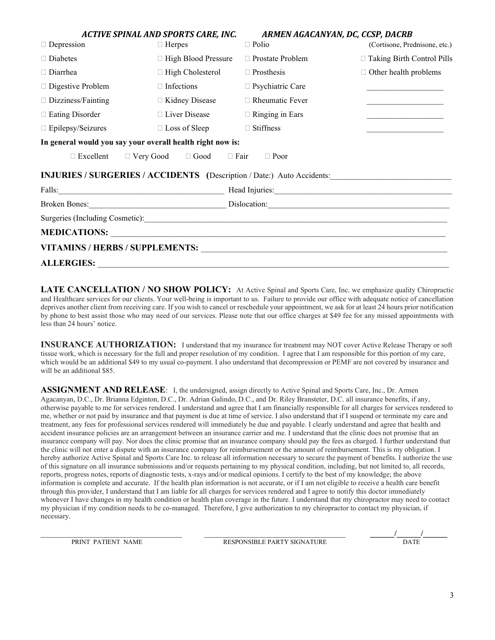|                           | <b>ACTIVE SPINAL AND SPORTS CARE, INC.</b>                             |                         | ARMEN AGACANYAN, DC, CCSP, DACRB                                           |  |  |  |
|---------------------------|------------------------------------------------------------------------|-------------------------|----------------------------------------------------------------------------|--|--|--|
| $\Box$ Depression         | $\Box$ Herpes                                                          | $\Box$ Polio            | (Cortisone, Prednisone, etc.)                                              |  |  |  |
| $\Box$ Diabetes           | □ High Blood Pressure                                                  | $\Box$ Prostate Problem | □ Taking Birth Control Pills                                               |  |  |  |
| $\Box$ Diarrhea           | $\Box$ High Cholesterol                                                | $\Box$ Prosthesis       | $\Box$ Other health problems                                               |  |  |  |
| $\Box$ Digestive Problem  | $\Box$ Infections                                                      | □ Psychiatric Care      | <u> 1989 - Johann John Stone, market francouzski film</u>                  |  |  |  |
| $\Box$ Dizziness/Fainting | □ Kidney Disease                                                       | □ Rheumatic Fever       |                                                                            |  |  |  |
| $\Box$ Eating Disorder    | □ Liver Disease                                                        | $\Box$ Ringing in Ears  | the control of the control of the control of the control of the control of |  |  |  |
| $\Box$ Epilepsy/Seizures  | $\Box$ Loss of Sleep                                                   | $\Box$ Stiffness        |                                                                            |  |  |  |
|                           | In general would you say your overall health right now is:             |                         |                                                                            |  |  |  |
| $\Box$ Excellent          | $\Box$ Very Good<br>$\Box$ Good<br>$\Box$ Fair                         | $\Box$ Poor             |                                                                            |  |  |  |
|                           | INJURIES / SURGERIES / ACCIDENTS (Description / Date:) Auto Accidents: |                         |                                                                            |  |  |  |
|                           |                                                                        |                         |                                                                            |  |  |  |
|                           |                                                                        |                         |                                                                            |  |  |  |
|                           | Surgeries (Including Cosmetic):                                        |                         |                                                                            |  |  |  |
|                           |                                                                        |                         |                                                                            |  |  |  |
|                           |                                                                        |                         |                                                                            |  |  |  |
| <b>ALLERGIES:</b>         |                                                                        |                         |                                                                            |  |  |  |

LATE CANCELLATION / NO SHOW POLICY: At Active Spinal and Sports Care, Inc. we emphasize quality Chiropractic and Healthcare services for our clients. Your well-being is important to us. Failure to provide our office with adequate notice of cancellation deprives another client from receiving care. If you wish to cancel or reschedule your appointment, we ask for at least 24 hours prior notification by phone to best assist those who may need of our services. Please note that our office charges at \$49 fee for any missed appointments with less than 24 hours' notice.

INSURANCE AUTHORIZATION: I understand that my insurance for treatment may NOT cover Active Release Therapy or soft tissue work, which is necessary for the full and proper resolution of my condition. I agree that I am responsible for this portion of my care, which would be an additional \$49 to my usual co-payment. I also understand that decompression or PEMF are not covered by insurance and will be an additional \$85.

ASSIGNMENT AND RELEASE: I, the undersigned, assign directly to Active Spinal and Sports Care, Inc., Dr. Armen Agacanyan, D.C., Dr. Brianna Edginton, D.C., Dr. Adrian Galindo, D.C., and Dr. Riley Bransteter, D.C. all insurance benefits, if any, otherwise payable to me for services rendered. I understand and agree that I am financially responsible for all charges for services rendered to me, whether or not paid by insurance and that payment is due at time of service. I also understand that if I suspend or terminate my care and treatment, any fees for professional services rendered will immediately be due and payable. I clearly understand and agree that health and accident insurance policies are an arrangement between an insurance carrier and me. I understand that the clinic does not promise that an insurance company will pay. Nor does the clinic promise that an insurance company should pay the fees as charged. I further understand that the clinic will not enter a dispute with an insurance company for reimbursement or the amount of reimbursement. This is my obligation. I hereby authorize Active Spinal and Sports Care Inc. to release all information necessary to secure the payment of benefits. I authorize the use of this signature on all insurance submissions and/or requests pertaining to my physical condition, including, but not limited to, all records, reports, progress notes, reports of diagnostic tests, x-rays and/or medical opinions. I certify to the best of my knowledge; the above information is complete and accurate. If the health plan information is not accurate, or if I am not eligible to receive a health care benefit through this provider, I understand that I am liable for all charges for services rendered and I agree to notify this doctor immediately whenever I have changes in my health condition or health plan coverage in the future. I understand that my chiropractor may need to contact my physician if my condition needs to be co-managed. Therefore, I give authorization to my chiropractor to contact my physician, if necessary.

PRINT PATIENT NAME RESPONSIBLE PARTY SIGNATURE PARTY OF BATE

 $\frac{1}{2}$  ,  $\frac{1}{2}$  ,  $\frac{1}{2}$  ,  $\frac{1}{2}$  ,  $\frac{1}{2}$  ,  $\frac{1}{2}$  ,  $\frac{1}{2}$  ,  $\frac{1}{2}$  ,  $\frac{1}{2}$  ,  $\frac{1}{2}$  ,  $\frac{1}{2}$  ,  $\frac{1}{2}$  ,  $\frac{1}{2}$  ,  $\frac{1}{2}$  ,  $\frac{1}{2}$  ,  $\frac{1}{2}$  ,  $\frac{1}{2}$  ,  $\frac{1}{2}$  ,  $\frac{1$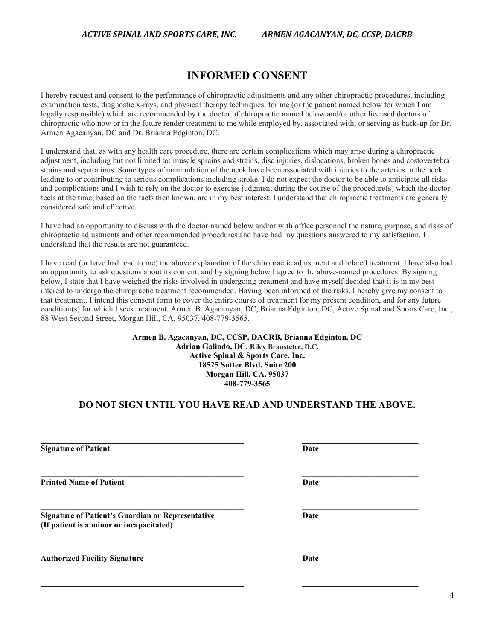# INFORMED CONSENT

I hereby request and consent to the performance of chiropractic adjustments and any other chiropractic procedures, including examination tests, diagnostic x-rays, and physical therapy techniques, for me (or the patient named below for which I am legally responsible) which are recommended by the doctor of chiropractic named below and/or other licensed doctors of chiropractic who now or in the future render treatment to me while employed by, associated with, or serving as back-up for Dr. Armen Agacanyan, DC and Dr. Brianna Edginton, DC.

I understand that, as with any health care procedure, there are certain complications which may arise during a chiropractic adjustment, including but not limited to: muscle sprains and strains, disc injuries, dislocations, broken bones and costovertebral strains and separations. Some types of manipulation of the neck have been associated with injuries to the arteries in the neck leading to or contributing to serious complications including stroke. I do not expect the doctor to be able to anticipate all risks and complications and I wish to rely on the doctor to exercise judgment during the course of the procedure(s) which the doctor feels at the time, based on the facts then known, are in my best interest. I understand that chiropractic treatments are generally considered safe and effective.

I have had an opportunity to discuss with the doctor named below and/or with office personnel the nature, purpose, and risks of chiropractic adjustments and other recommended procedures and have had my questions answered to my satisfaction. I understand that the results are not guaranteed.

I have read (or have had read to me) the above explanation of the chiropractic adjustment and related treatment. I have also had an opportunity to ask questions about its content, and by signing below I agree to the above-named procedures. By signing below, I state that I have weighed the risks involved in undergoing treatment and have myself decided that it is in my best interest to undergo the chiropractic treatment recommended. Having been informed of the risks, I hereby give my consent to that treatment. I intend this consent form to cover the entire course of treatment for my present condition, and for any future condition(s) for which I seek treatment. Armen B. Agacanyan, DC, Brianna Edginton, DC, Active Spinal and Sports Care, Inc., 88 West Second Street, Morgan Hill, CA. 95037, 408-779-3565.

> Armen B. Agacanyan, DC, CCSP, DACRB, Brianna Edginton, DC Adrian Galindo, DC, Riley Bransteter, D.C. Active Spinal & Sports Care, Inc. 18525 Sutter Blvd. Suite 200 Morgan Hill, CA. 95037 408-779-3565

## DO NOT SIGN UNTIL YOU HAVE READ AND UNDERSTAND THE ABOVE.

\_\_\_\_\_\_\_\_\_\_\_\_\_\_\_\_\_\_\_\_\_\_\_\_\_\_\_\_\_\_\_\_\_\_\_\_\_\_\_\_\_\_ \_\_\_\_\_\_\_\_\_\_\_\_\_\_\_\_\_\_\_\_\_\_\_\_

 $\mathcal{L}_\mathcal{L} = \{ \mathcal{L}_\mathcal{L} = \{ \mathcal{L}_\mathcal{L} = \{ \mathcal{L}_\mathcal{L} = \{ \mathcal{L}_\mathcal{L} = \{ \mathcal{L}_\mathcal{L} = \{ \mathcal{L}_\mathcal{L} = \{ \mathcal{L}_\mathcal{L} = \{ \mathcal{L}_\mathcal{L} = \{ \mathcal{L}_\mathcal{L} = \{ \mathcal{L}_\mathcal{L} = \{ \mathcal{L}_\mathcal{L} = \{ \mathcal{L}_\mathcal{L} = \{ \mathcal{L}_\mathcal{L} = \{ \mathcal{L}_\mathcal{$ 

\_\_\_\_\_\_\_\_\_\_\_\_\_\_\_\_\_\_\_\_\_\_\_\_\_\_\_\_\_\_\_\_\_\_\_\_\_\_\_\_\_\_ \_\_\_\_\_\_\_\_\_\_\_\_\_\_\_\_\_\_\_\_\_\_\_\_

\_\_\_\_\_\_\_\_\_\_\_\_\_\_\_\_\_\_\_\_\_\_\_\_\_\_\_\_\_\_\_\_\_\_\_\_\_\_\_\_\_\_ \_\_\_\_\_\_\_\_\_\_\_\_\_\_\_\_\_\_\_\_\_\_\_\_

 $\mathcal{L}_\text{max} = \mathcal{L}_\text{max} = \mathcal{L}_\text{max} = \mathcal{L}_\text{max} = \mathcal{L}_\text{max} = \mathcal{L}_\text{max} = \mathcal{L}_\text{max} = \mathcal{L}_\text{max} = \mathcal{L}_\text{max} = \mathcal{L}_\text{max} = \mathcal{L}_\text{max} = \mathcal{L}_\text{max} = \mathcal{L}_\text{max} = \mathcal{L}_\text{max} = \mathcal{L}_\text{max} = \mathcal{L}_\text{max} = \mathcal{L}_\text{max} = \mathcal{L}_\text{max} = \mathcal{$ 

Signature of Patient Date

Printed Name of Patient **Date** 

Signature of Patient's Guardian or Representative Date (If patient is a minor or incapacitated)

Authorized Facility Signature Date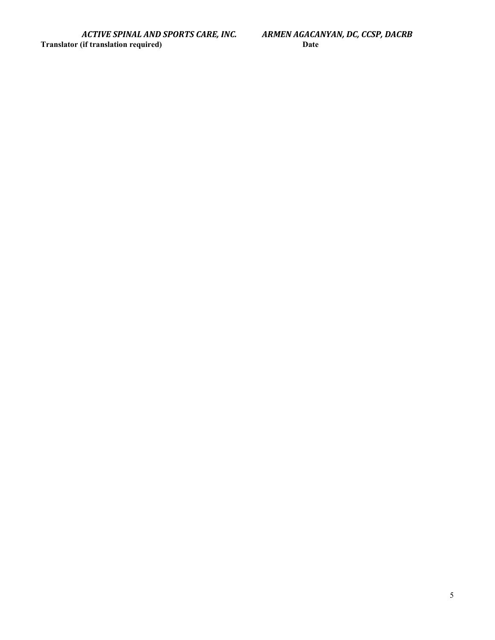5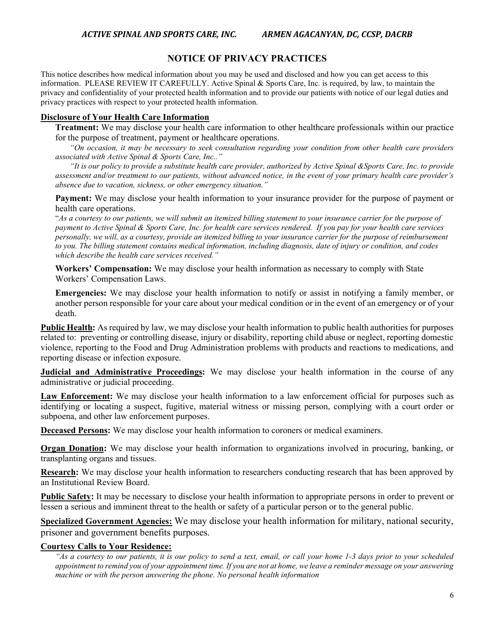## NOTICE OF PRIVACY PRACTICES

This notice describes how medical information about you may be used and disclosed and how you can get access to this information. PLEASE REVIEW IT CAREFULLY. Active Spinal & Sports Care, Inc. is required, by law, to maintain the privacy and confidentiality of your protected health information and to provide our patients with notice of our legal duties and privacy practices with respect to your protected health information.

#### Disclosure of Your Health Care Information

Treatment: We may disclose your health care information to other healthcare professionals within our practice for the purpose of treatment, payment or healthcare operations.

"On occasion, it may be necessary to seek consultation regarding your condition from other health care providers associated with Active Spinal & Sports Care, Inc.."

"It is our policy to provide a substitute health care provider, authorized by Active Spinal &Sports Care, Inc. to provide assessment and/or treatment to our patients, without advanced notice, in the event of your primary health care provider's absence due to vacation, sickness, or other emergency situation."

Payment: We may disclose your health information to your insurance provider for the purpose of payment or health care operations.

"As a courtesy to our patients, we will submit an itemized billing statement to your insurance carrier for the purpose of payment to Active Spinal & Sports Care, Inc. for health care services rendered. If you pay for your health care services personally, we will, as a courtesy, provide an itemized billing to your insurance carrier for the purpose of reimbursement to you. The billing statement contains medical information, including diagnosis, date of injury or condition, and codes which describe the health care services received."

Workers' Compensation: We may disclose your health information as necessary to comply with State Workers' Compensation Laws.

Emergencies: We may disclose your health information to notify or assist in notifying a family member, or another person responsible for your care about your medical condition or in the event of an emergency or of your death.

Public Health: As required by law, we may disclose your health information to public health authorities for purposes related to: preventing or controlling disease, injury or disability, reporting child abuse or neglect, reporting domestic violence, reporting to the Food and Drug Administration problems with products and reactions to medications, and reporting disease or infection exposure.

Judicial and Administrative Proceedings: We may disclose your health information in the course of any administrative or judicial proceeding.

Law Enforcement: We may disclose your health information to a law enforcement official for purposes such as identifying or locating a suspect, fugitive, material witness or missing person, complying with a court order or subpoena, and other law enforcement purposes.

Deceased Persons: We may disclose your health information to coroners or medical examiners.

**Organ Donation:** We may disclose your health information to organizations involved in procuring, banking, or transplanting organs and tissues.

Research: We may disclose your health information to researchers conducting research that has been approved by an Institutional Review Board.

Public Safety: It may be necessary to disclose your health information to appropriate persons in order to prevent or lessen a serious and imminent threat to the health or safety of a particular person or to the general public.

Specialized Government Agencies: We may disclose your health information for military, national security, prisoner and government benefits purposes.

## Courtesy Calls to Your Residence:

"As a courtesy to our patients, it is our policy to send a text, email, or call your home 1-3 days prior to your scheduled appointment to remind you of your appointment time. If you are not at home, we leave a reminder message on your answering machine or with the person answering the phone. No personal health information